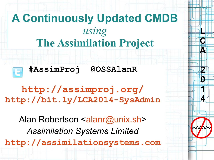

**L**

**C**

**A**

**2**

**0**

**1**

**4**

**<http://assimproj.org/> <http://bit.ly/LCA2014-SysAdmin>**

Alan Robertson <[alanr@unix.sh](mailto:alanr@unix.sh)> *Assimilation Systems Limited* **[http://assimilationsystems.com](http://assimilationsystems.com/)**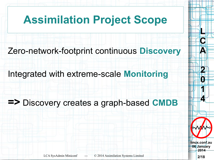# **Assimilation Project Scope**

Zero-network-footprint continuous **Discovery**

Integrated with extreme-scale **Monitoring**

#### **=>** Discovery creates a graph-based **CMDB**



**L**

**C**

**A**

**2**

**0**

**1**

**4**

**06 January 2014**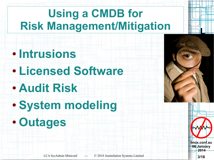# **Using a CMDB for Risk Management/Mitigation**

- **Intrusions** ● **Licensed Software**
- **Audit Risk**
- **System modeling** ● **Outages**



**linux.conf.au 06 January 2014**

**L**

**C** 

**A**

**2**

**0**

**1**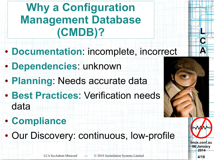# **Why a Configuration Management Database (CMDB)?**

- **Documentation**: incomplete, incorrect
- **Dependencies**: unknown
- **Planning**: Needs accurate data
- **Best Practices: Verification needs** data
- **Compliance**
- Our Discovery: continuous, low-profile



**L**

**C**

**A**

**2**

**0**

**4**

LCA SysAdmin Miniconf --- © 2014 Assimilation Systems Limited **4/18**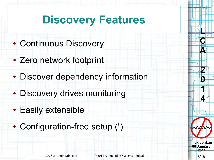#### **Discovery Features**

- Continuous Discovery
- Zero network footprint
- Discover dependency information
- Discovery drives monitoring
- Easily extensible
- Configuration-free setup (!)

**linux.conf.au 06 January 2014**

**L**

**C**

**A**

**2**

**0**

**1**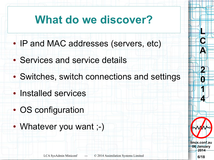#### **What do we discover?**

- IP and MAC addresses (servers, etc)
- Services and service details
- Switches, switch connections and settings
- Installed services
- OS configuration
- Whatever you want ;-)

**linux.conf.au 06 January 2014**

**L**

**C**

**A**

**2**

**0**

**1**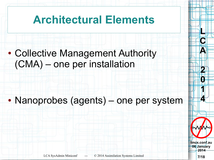#### **Architectural Elements**

#### • Collective Management Authority (CMA) – one per installation

#### • Nanoprobes (agents) – one per system



**L**

**C**

**A**

**2**

**0**

**1**

**4**

**linux.conf.au 06 January 2014**

LCA SysAdmin Miniconf --- © 2014 Assimilation Systems Limited **7/18**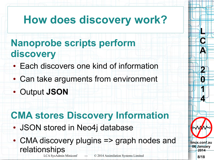#### **How does discovery work?**

#### **Nanoprobe scripts perform discovery**

- Each discovers one kind of information
- Can take arguments from environment
- Output **JSON**

#### **CMA stores Discovery Information**

- JSON stored in Neo4j database
- LCA SysAdmin Miniconf --- © 2014 Assimilation Systems Limited **8/18** • CMA discovery plugins => graph nodes and relationships



**linux.conf.au 06 January 2014**

**L**

**C**

**A**

**2**

**0**

**1**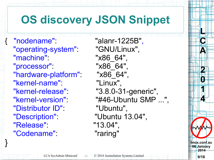# **OS discovery JSON Snippet**

{ "nodename": "alanr-1225B", "operating-system": "GNU/Linux", "machine": "x86\_64", "processor": "x86\_64", "hardware-platform": "x86\_64", "kernel-name": "Linux", "Distributor ID": "Ubuntu", "Description": "Ubuntu 13.04", "Release": "13.04", "Codename": "raring"

}

 "kernel-release": "3.8.0-31-generic", "kernel-version": "#46-Ubuntu SMP ...",

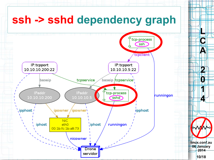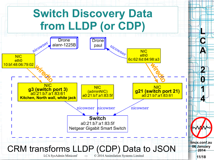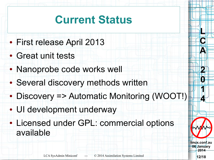#### **Current Status**

- First release April 2013
- Great unit tests
- Nanoprobe code works well
- Several discovery methods written
- Discovery => Automatic Monitoring (WOOT!)
- UI development underway
- Licensed under GPL: commercial options available



**L**

**C**

**A**

**2**

**0**

**1**

**4**

**linux.conf.au 06 January 2014**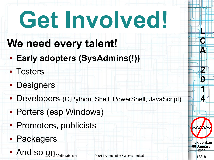# **Get Involved!**

#### **We need every talent!**

- **Early adopters (SysAdmins(!))**
- Testers
- Designers
- Developers (C, Python, Shell, PowerShell, JavaScript)
- Porters (esp Windows)
- Promoters, publicists
- Packagers
- And so  $\Omega_{\text{L}}$  SysAdmin Miniconf --- © 2014 Assimilation Systems Limited 13/18



**linux.conf.au**

**L**

**C**

**A**

**2**

**0**

**1**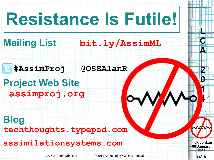# **Resistance Is Futile!**

#### **Mailing List [bit.ly/AssimML](http://bit.ly/AssimML)**

 **#AssimProj @OSSAlanR**

**Project Web Site [assimproj.org](http://assimproj.org/)**

**Blog [techthoughts.typepad.com](http://techthoughts.typepad.com/)**

**[assimilationsystems.com](http://assimilationsystems.com/)**

LCA SysAdmin Miniconf --- © 2014 Assimilation Systems Limited **14/18**

**linux.conf.au 06 January 2014**

**L**

**C**

**A**

**2**

**0**

**1**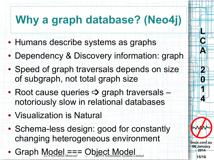# **Why a graph database? (Neo4j)**

- Humans describe systems as graphs
- Dependency & Discovery information: graph
- Speed of graph traversals depends on size of subgraph, not total graph size
- Root cause queries  $\Rightarrow$  graph traversals notoriously slow in relational databases
- Visualization is Natural
- Schema-less design: good for constantly changing heterogeneous environment
- LCA SysAdmin Miniconf --- © 2014 Assimilation Systems Limited **15/18** • Graph Model === Object Model



**L**

**C**

**A**

**2**

**0**

**1**

**4**

**linux.conf.au 06 January 2014**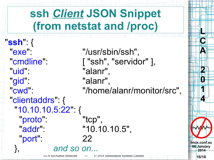#### **ssh** *Client* **JSON Snippet (from netstat and /proc)**

LCA SysAdmin Miniconf --- © 2014 Assimilation Systems Limited **16/18** "**ssh**": { "exe": "/usr/sbin/ssh", "cmdline": ["ssh", "servidor" ], "uid": "alanr", "gid": "alanr", "cwd": "/home/alanr/monitor/src", "clientaddrs": { "10.10.10.5:22": { "proto": "tcp", "addr": "10.10.10.5", "port": 22 }, *and so on...*

**linux.conf.au 06 January 2014**

**L**

**C**

**A**

**2**

**0**

**1**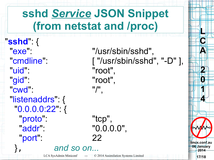#### **sshd** *Service* **JSON Snippet (from netstat and /proc)**

"**sshd**": { "exe": "/usr/sbin/sshd", "uid": "root", "gid": "root", "cwd": "/", "listenaddrs": { "0.0.0.0:22": { "proto": "tcp", "addr": "0.0.0.0", "port": 22 }, *and so on...*

"cmdline": [ "/usr/sbin/sshd", "-D" ],

**linux.conf.au 06 January 2014**

**L**

**C**

**A**

**2**

**0**

**1**